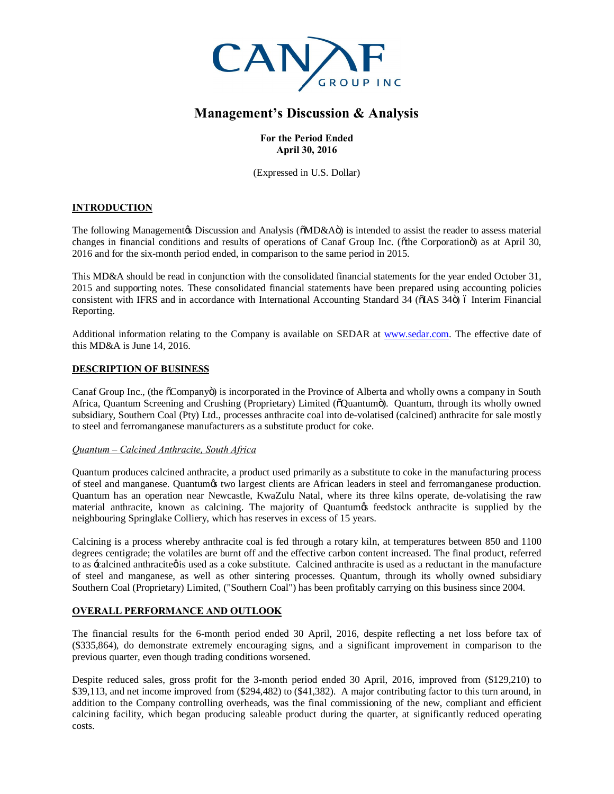

# **Management's Discussion & Analysis**

# **For the Period Ended April 30, 2016**

(Expressed in U.S. Dollar)

# **INTRODUCTION**

The following Management is Discussion and Analysis ( $\delta M D \& A \ddot{o}$ ) is intended to assist the reader to assess material changes in financial conditions and results of operations of Canaf Group Inc. (othe Corporation in as at April 30, 2016 and for the six-month period ended, in comparison to the same period in 2015.

This MD&A should be read in conjunction with the consolidated financial statements for the year ended October 31, 2015 and supporting notes. These consolidated financial statements have been prepared using accounting policies consistent with IFRS and in accordance with International Accounting Standard 34 (6IAS 34 $\ddot{o}$ ) 6 Interim Financial Reporting.

Additional information relating to the Company is available on SEDAR at [www.sedar.com.](http://www.sedar.com/) The effective date of this MD&A is June 14, 2016.

# **DESCRIPTION OF BUSINESS**

Canaf Group Inc., (the  $\tilde{\text{o}}$ Company $\ddot{\text{o}}$ ) is incorporated in the Province of Alberta and wholly owns a company in South Africa, Quantum Screening and Crushing (Proprietary) Limited ( $\delta$ Quantum $\ddot{o}$ ). Quantum, through its wholly owned subsidiary, Southern Coal (Pty) Ltd., processes anthracite coal into de-volatised (calcined) anthracite for sale mostly to steel and ferromanganese manufacturers as a substitute product for coke.

# *Quantum – Calcined Anthracite, South Africa*

Quantum produces calcined anthracite, a product used primarily as a substitute to coke in the manufacturing process of steel and manganese. Quantum's two largest clients are African leaders in steel and ferromanganese production. Quantum has an operation near Newcastle, KwaZulu Natal, where its three kilns operate, de-volatising the raw material anthracite, known as calcining. The majority of Quantumos feedstock anthracite is supplied by the neighbouring Springlake Colliery, which has reserves in excess of 15 years.

Calcining is a process whereby anthracite coal is fed through a rotary kiln, at temperatures between 850 and 1100 degrees centigrade; the volatiles are burnt off and the effective carbon content increased. The final product, referred to as -calcined anthracite is used as a coke substitute. Calcined anthracite is used as a reductant in the manufacture of steel and manganese, as well as other sintering processes. Quantum, through its wholly owned subsidiary Southern Coal (Proprietary) Limited, ("Southern Coal") has been profitably carrying on this business since 2004.

# **OVERALL PERFORMANCE AND OUTLOOK**

The financial results for the 6-month period ended 30 April, 2016, despite reflecting a net loss before tax of (\$335,864), do demonstrate extremely encouraging signs, and a significant improvement in comparison to the previous quarter, even though trading conditions worsened.

Despite reduced sales, gross profit for the 3-month period ended 30 April, 2016, improved from (\$129,210) to \$39,113, and net income improved from (\$294,482) to (\$41,382). A major contributing factor to this turn around, in addition to the Company controlling overheads, was the final commissioning of the new, compliant and efficient calcining facility, which began producing saleable product during the quarter, at significantly reduced operating costs.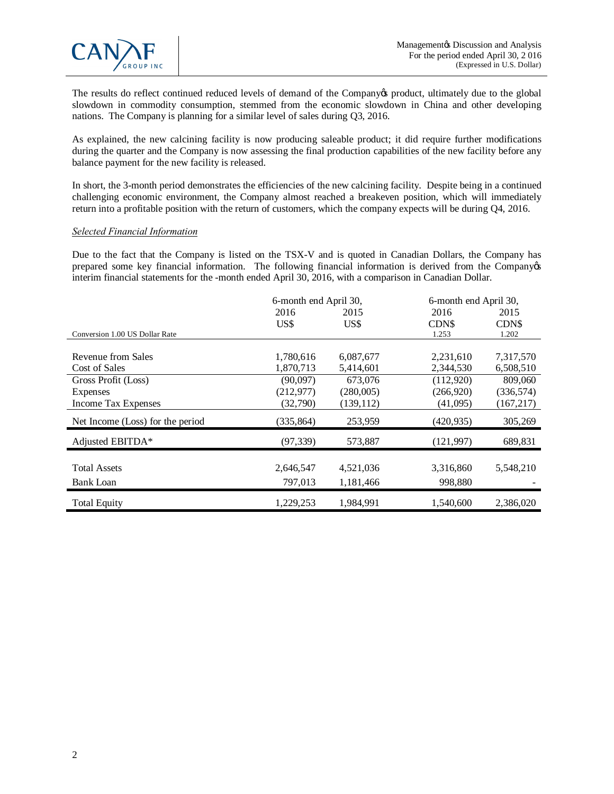

The results do reflect continued reduced levels of demand of the Company's product, ultimately due to the global slowdown in commodity consumption, stemmed from the economic slowdown in China and other developing nations. The Company is planning for a similar level of sales during Q3, 2016.

As explained, the new calcining facility is now producing saleable product; it did require further modifications during the quarter and the Company is now assessing the final production capabilities of the new facility before any balance payment for the new facility is released.

In short, the 3-month period demonstrates the efficiencies of the new calcining facility. Despite being in a continued challenging economic environment, the Company almost reached a breakeven position, which will immediately return into a profitable position with the return of customers, which the company expects will be during Q4, 2016.

#### *Selected Financial Information*

Due to the fact that the Company is listed on the TSX-V and is quoted in Canadian Dollars, the Company has prepared some key financial information. The following financial information is derived from the Companyos interim financial statements for the -month ended April 30, 2016, with a comparison in Canadian Dollar.

|                                  | 6-month end April 30, |            | 6-month end April 30, |            |
|----------------------------------|-----------------------|------------|-----------------------|------------|
|                                  | 2016                  | 2015       | 2016                  | 2015       |
|                                  | US\$                  | US\$       | <b>CDNS</b>           | CDN\$      |
| Conversion 1.00 US Dollar Rate   |                       |            | 1.253                 | 1.202      |
|                                  |                       |            |                       |            |
| Revenue from Sales               | 1,780,616             | 6,087,677  | 2,231,610             | 7,317,570  |
| Cost of Sales                    | 1,870,713             | 5,414,601  | 2,344,530             | 6,508,510  |
| Gross Profit (Loss)              | (90,097)              | 673,076    | (112,920)             | 809,060    |
| <b>Expenses</b>                  | (212, 977)            | (280,005)  | (266, 920)            | (336, 574) |
| Income Tax Expenses              | (32,790)              | (139, 112) | (41,095)              | (167, 217) |
| Net Income (Loss) for the period | (335, 864)            | 253,959    | (420, 935)            | 305,269    |
| Adjusted EBITDA*                 | (97, 339)             | 573,887    | (121, 997)            | 689,831    |
|                                  |                       |            |                       |            |
| <b>Total Assets</b>              | 2,646,547             | 4,521,036  | 3,316,860             | 5,548,210  |
| Bank Loan                        | 797,013               | 1,181,466  | 998,880               |            |
| <b>Total Equity</b>              | 1,229,253             | 1,984,991  | 1,540,600             | 2,386,020  |

í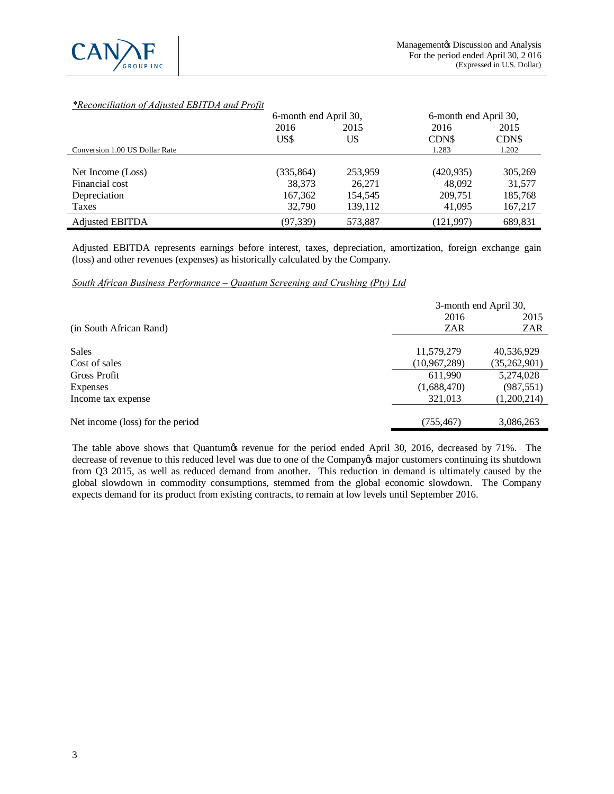

# *\*Reconciliation of Adjusted EBITDA and Profit*

|                                | 6-month end April 30, |         | 6-month end April 30, |         |
|--------------------------------|-----------------------|---------|-----------------------|---------|
|                                | 2016                  | 2015    | 2016                  | 2015    |
|                                | US\$                  | US      | CDN\$                 | CDN\$   |
| Conversion 1.00 US Dollar Rate |                       |         | 1.283                 | 1.202   |
|                                |                       |         |                       |         |
| Net Income (Loss)              | (335, 864)            | 253,959 | (420, 935)            | 305,269 |
| Financial cost                 | 38,373                | 26,271  | 48,092                | 31,577  |
| Depreciation                   | 167,362               | 154,545 | 209,751               | 185,768 |
| Taxes                          | 32,790                | 139,112 | 41,095                | 167,217 |
| <b>Adjusted EBITDA</b>         | (97, 339)             | 573,887 | (121, 997)            | 689,831 |

Adjusted EBITDA represents earnings before interest, taxes, depreciation, amortization, foreign exchange gain (loss) and other revenues (expenses) as historically calculated by the Company.

# *South African Business Performance – Quantum Screening and Crushing (Pty) Ltd*

|                                  | 3-month end April 30, |                |  |
|----------------------------------|-----------------------|----------------|--|
|                                  | 2016                  | 2015           |  |
| (in South African Rand)          | ZAR                   | ZAR            |  |
|                                  |                       |                |  |
| <b>Sales</b>                     | 11,579,279            | 40,536,929     |  |
| Cost of sales                    | (10, 967, 289)        | (35, 262, 901) |  |
| <b>Gross Profit</b>              | 611.990               | 5,274,028      |  |
| <b>Expenses</b>                  | (1,688,470)           | (987, 551)     |  |
| Income tax expense               | 321,013               | (1,200,214)    |  |
|                                  |                       |                |  |
| Net income (loss) for the period | (755, 467)            | 3,086,263      |  |

The table above shows that Quantum is revenue for the period ended April 30, 2016, decreased by 71%. The decrease of revenue to this reduced level was due to one of the Company's major customers continuing its shutdown from Q3 2015, as well as reduced demand from another. This reduction in demand is ultimately caused by the global slowdown in commodity consumptions, stemmed from the global economic slowdown. The Company expects demand for its product from existing contracts, to remain at low levels until September 2016.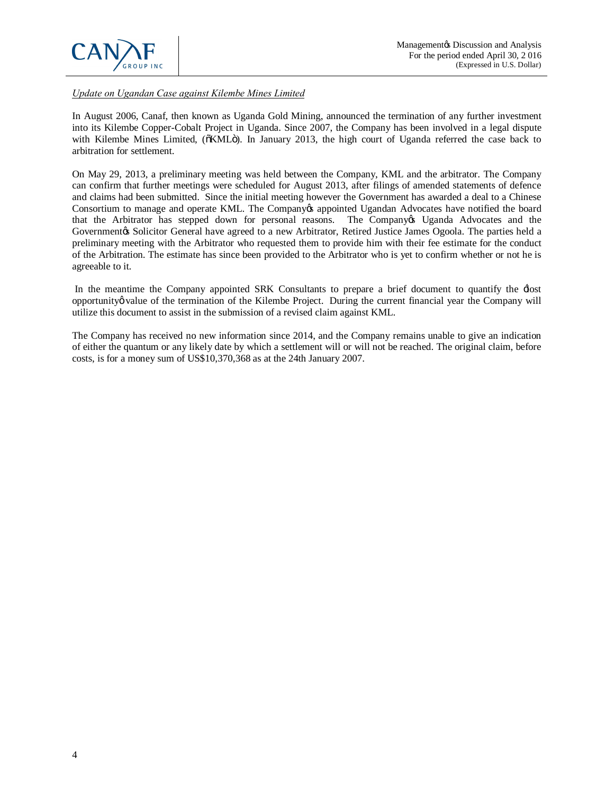

*Update on Ugandan Case against Kilembe Mines Limited*

In August 2006, Canaf, then known as Uganda Gold Mining, announced the termination of any further investment into its Kilembe Copper-Cobalt Project in Uganda. Since 2007, the Company has been involved in a legal dispute with Kilembe Mines Limited, ( $\delta$ KML $\ddot{o}$ ). In January 2013, the high court of Uganda referred the case back to arbitration for settlement.

On May 29, 2013, a preliminary meeting was held between the Company, KML and the arbitrator. The Company can confirm that further meetings were scheduled for August 2013, after filings of amended statements of defence and claims had been submitted. Since the initial meeting however the Government has awarded a deal to a Chinese Consortium to manage and operate KML. The Company ts appointed Ugandan Advocates have notified the board that the Arbitrator has stepped down for personal reasons. The Company's Uganda Advocates and the Governmentøs Solicitor General have agreed to a new Arbitrator, Retired Justice James Ogoola. The parties held a preliminary meeting with the Arbitrator who requested them to provide him with their fee estimate for the conduct of the Arbitration. The estimate has since been provided to the Arbitrator who is yet to confirm whether or not he is agreeable to it.

In the meantime the Company appointed SRK Consultants to prepare a brief document to quantify the  $\pm$ lost opportunity walue of the termination of the Kilembe Project. During the current financial year the Company will utilize this document to assist in the submission of a revised claim against KML.

The Company has received no new information since 2014, and the Company remains unable to give an indication of either the quantum or any likely date by which a settlement will or will not be reached. The original claim, before costs, is for a money sum of US\$10,370,368 as at the 24th January 2007.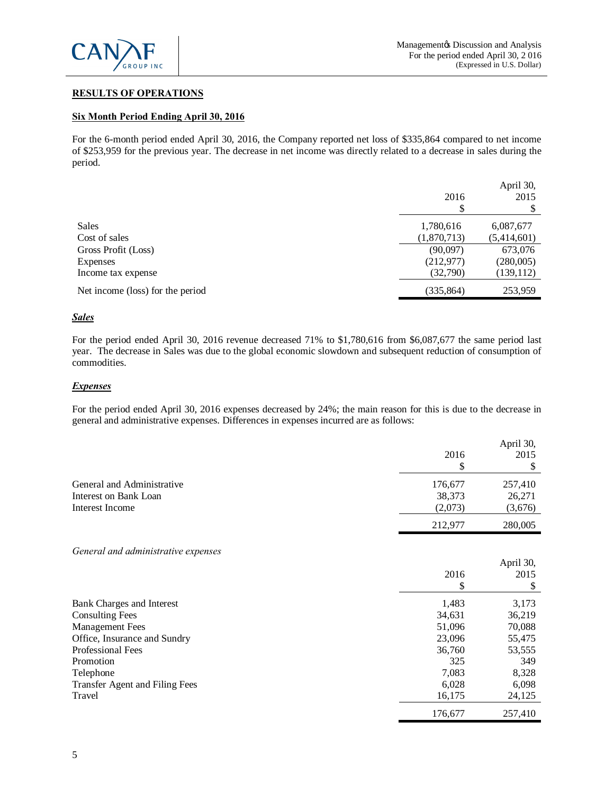

# **RESULTS OF OPERATIONS**

### **Six Month Period Ending April 30, 2016**

For the 6-month period ended April 30, 2016, the Company reported net loss of \$335,864 compared to net income of \$253,959 for the previous year. The decrease in net income was directly related to a decrease in sales during the period.

|                                  | 2016        | April 30,<br>2015 |
|----------------------------------|-------------|-------------------|
|                                  | \$          | \$                |
| <b>Sales</b>                     | 1,780,616   | 6,087,677         |
| Cost of sales                    | (1,870,713) | (5,414,601)       |
| Gross Profit (Loss)              | (90,097)    | 673,076           |
| <b>Expenses</b>                  | (212, 977)  | (280,005)         |
| Income tax expense               | (32,790)    | (139, 112)        |
| Net income (loss) for the period | (335, 864)  | 253,959           |

### *Sales*

For the period ended April 30, 2016 revenue decreased 71% to \$1,780,616 from \$6,087,677 the same period last year. The decrease in Sales was due to the global economic slowdown and subsequent reduction of consumption of commodities.

# *Expenses*

For the period ended April 30, 2016 expenses decreased by 24%; the main reason for this is due to the decrease in general and administrative expenses. Differences in expenses incurred are as follows:

|                                                     | 2016               | April 30,<br>2015  |
|-----------------------------------------------------|--------------------|--------------------|
| General and Administrative<br>Interest on Bank Loan | 176,677<br>38,373  | 257,410<br>26,271  |
| Interest Income                                     | (2,073)<br>212,977 | (3,676)<br>280,005 |
|                                                     |                    |                    |

*General and administrative expenses*

|                                | 2016<br>\$ | April 30,<br>2015 |
|--------------------------------|------------|-------------------|
| Bank Charges and Interest      | 1,483      | 3,173             |
| <b>Consulting Fees</b>         | 34,631     | 36,219            |
| <b>Management Fees</b>         | 51,096     | 70,088            |
| Office, Insurance and Sundry   | 23,096     | 55,475            |
| <b>Professional Fees</b>       | 36,760     | 53,555            |
| Promotion                      | 325        | 349               |
| Telephone                      | 7,083      | 8,328             |
| Transfer Agent and Filing Fees | 6,028      | 6,098             |
| Travel                         | 16,175     | 24,125            |
|                                | 176,677    | 257,410           |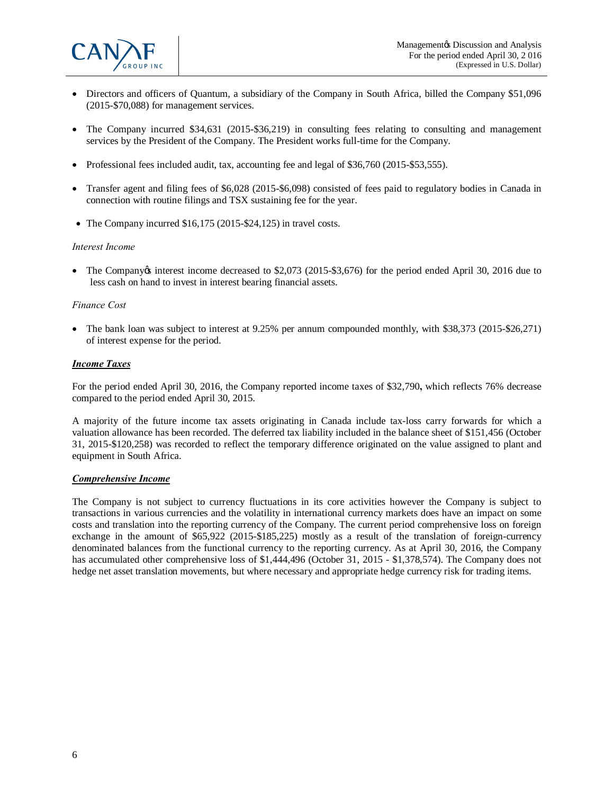

- · Directors and officers of Quantum, a subsidiary of the Company in South Africa, billed the Company \$51,096 (2015-\$70,088) for management services.
- The Company incurred \$34,631 (2015-\$36,219) in consulting fees relating to consulting and management services by the President of the Company. The President works full-time for the Company.
- Professional fees included audit, tax, accounting fee and legal of \$36,760 (2015-\$53,555).
- Transfer agent and filing fees of \$6,028 (2015-\$6,098) consisted of fees paid to regulatory bodies in Canada in connection with routine filings and TSX sustaining fee for the year.
- The Company incurred \$16,175 (2015-\$24,125) in travel costs.

#### *Interest Income*

• The Company *interest income decreased to* \$2,073 (2015-\$3,676) for the period ended April 30, 2016 due to less cash on hand to invest in interest bearing financial assets.

#### *Finance Cost*

• The bank loan was subject to interest at 9.25% per annum compounded monthly, with \$38,373 (2015-\$26,271) of interest expense for the period.

### *Income Taxes*

For the period ended April 30, 2016, the Company reported income taxes of \$32,790**,** which reflects 76% decrease compared to the period ended April 30, 2015.

A majority of the future income tax assets originating in Canada include tax-loss carry forwards for which a valuation allowance has been recorded. The deferred tax liability included in the balance sheet of \$151,456 (October 31, 2015-\$120,258) was recorded to reflect the temporary difference originated on the value assigned to plant and equipment in South Africa.

#### *Comprehensive Income*

The Company is not subject to currency fluctuations in its core activities however the Company is subject to transactions in various currencies and the volatility in international currency markets does have an impact on some costs and translation into the reporting currency of the Company. The current period comprehensive loss on foreign exchange in the amount of \$65,922 (2015-\$185,225) mostly as a result of the translation of foreign-currency denominated balances from the functional currency to the reporting currency. As at April 30, 2016, the Company has accumulated other comprehensive loss of \$1,444,496 (October 31, 2015 - \$1,378,574). The Company does not hedge net asset translation movements, but where necessary and appropriate hedge currency risk for trading items.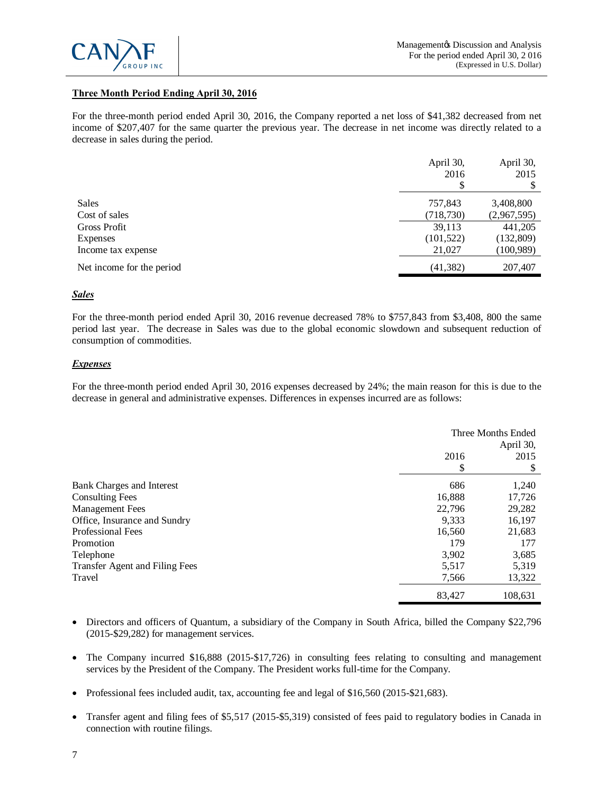

# **Three Month Period Ending April 30, 2016**

For the three-month period ended April 30, 2016, the Company reported a net loss of \$41,382 decreased from net income of \$207,407 for the same quarter the previous year. The decrease in net income was directly related to a decrease in sales during the period.

|                           | April 30,<br>2016 | April 30,<br>2015 |
|---------------------------|-------------------|-------------------|
|                           | \$                |                   |
| <b>Sales</b>              | 757,843           | 3,408,800         |
| Cost of sales             | (718, 730)        | (2,967,595)       |
| Gross Profit              | 39,113            | 441,205           |
| Expenses                  | (101, 522)        | (132,809)         |
| Income tax expense        | 21,027            | (100, 989)        |
| Net income for the period | (41, 382)         | 207,407           |

#### *Sales*

For the three-month period ended April 30, 2016 revenue decreased 78% to \$757,843 from \$3,408, 800 the same period last year. The decrease in Sales was due to the global economic slowdown and subsequent reduction of consumption of commodities.

### *Expenses*

For the three-month period ended April 30, 2016 expenses decreased by 24%; the main reason for this is due to the decrease in general and administrative expenses. Differences in expenses incurred are as follows:

|                                       | Three Months Ended<br>April 30, |         |
|---------------------------------------|---------------------------------|---------|
|                                       | 2016                            | 2015    |
|                                       | \$                              |         |
| Bank Charges and Interest             | 686                             | 1,240   |
| <b>Consulting Fees</b>                | 16,888                          | 17,726  |
| <b>Management Fees</b>                | 22,796                          | 29,282  |
| Office, Insurance and Sundry          | 9.333                           | 16,197  |
| <b>Professional Fees</b>              | 16,560                          | 21,683  |
| Promotion                             | 179                             | 177     |
| Telephone                             | 3,902                           | 3,685   |
| <b>Transfer Agent and Filing Fees</b> | 5,517                           | 5,319   |
| Travel                                | 7,566                           | 13,322  |
|                                       | 83,427                          | 108.631 |

- · Directors and officers of Quantum, a subsidiary of the Company in South Africa, billed the Company \$22,796 (2015-\$29,282) for management services.
- The Company incurred \$16,888 (2015-\$17,726) in consulting fees relating to consulting and management services by the President of the Company. The President works full-time for the Company.
- Professional fees included audit, tax, accounting fee and legal of \$16,560 (2015-\$21,683).
- · Transfer agent and filing fees of \$5,517 (2015-\$5,319) consisted of fees paid to regulatory bodies in Canada in connection with routine filings.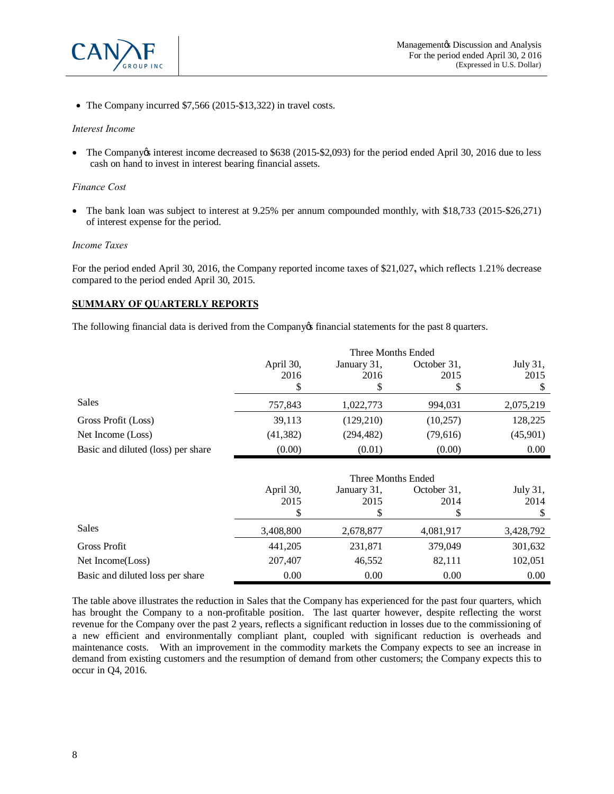

• The Company incurred \$7,566 (2015-\$13,322) in travel costs.

#### *Interest Income*

• The Company e interest income decreased to \$638 (2015-\$2,093) for the period ended April 30, 2016 due to less cash on hand to invest in interest bearing financial assets.

#### *Finance Cost*

• The bank loan was subject to interest at 9.25% per annum compounded monthly, with \$18,733 (2015-\$26,271) of interest expense for the period.

#### *Income Taxes*

For the period ended April 30, 2016, the Company reported income taxes of \$21,027**,** which reflects 1.21% decrease compared to the period ended April 30, 2015.

### **SUMMARY OF QUARTERLY REPORTS**

The following financial data is derived from the Company of financial statements for the past 8 quarters.

|                                    | Three Months Ended |                    |             |           |
|------------------------------------|--------------------|--------------------|-------------|-----------|
|                                    | April 30,          | January 31,        | October 31, | July 31,  |
|                                    | 2016               | 2016               | 2015        | 2015      |
|                                    | S                  | S                  |             | \$        |
| <b>Sales</b>                       | 757,843            | 1,022,773          | 994,031     | 2,075,219 |
| Gross Profit (Loss)                | 39,113             | (129,210)          | (10, 257)   | 128,225   |
| Net Income (Loss)                  | (41, 382)          | (294, 482)         | (79,616)    | (45,901)  |
| Basic and diluted (loss) per share | (0.00)             | (0.01)             | (0.00)      | 0.00      |
|                                    |                    |                    |             |           |
|                                    |                    | Three Months Ended |             |           |
|                                    | April 30,          | January 31,        | October 31, | July 31,  |
|                                    | 2015               | 2015               | 2014        | 2014      |
|                                    | 7                  | Ж                  |             | S         |
| <b>Sales</b>                       | 3,408,800          | 2,678,877          | 4,081,917   | 3,428,792 |
| <b>Gross Profit</b>                | 441,205            | 231,871            | 379,049     | 301,632   |
| Net Income(Loss)                   | 207,407            | 46,552             | 82,111      | 102,051   |
| Basic and diluted loss per share   | 0.00               | 0.00               | 0.00        | 0.00      |

The table above illustrates the reduction in Sales that the Company has experienced for the past four quarters, which has brought the Company to a non-profitable position. The last quarter however, despite reflecting the worst revenue for the Company over the past 2 years, reflects a significant reduction in losses due to the commissioning of a new efficient and environmentally compliant plant, coupled with significant reduction is overheads and maintenance costs. With an improvement in the commodity markets the Company expects to see an increase in demand from existing customers and the resumption of demand from other customers; the Company expects this to occur in Q4, 2016.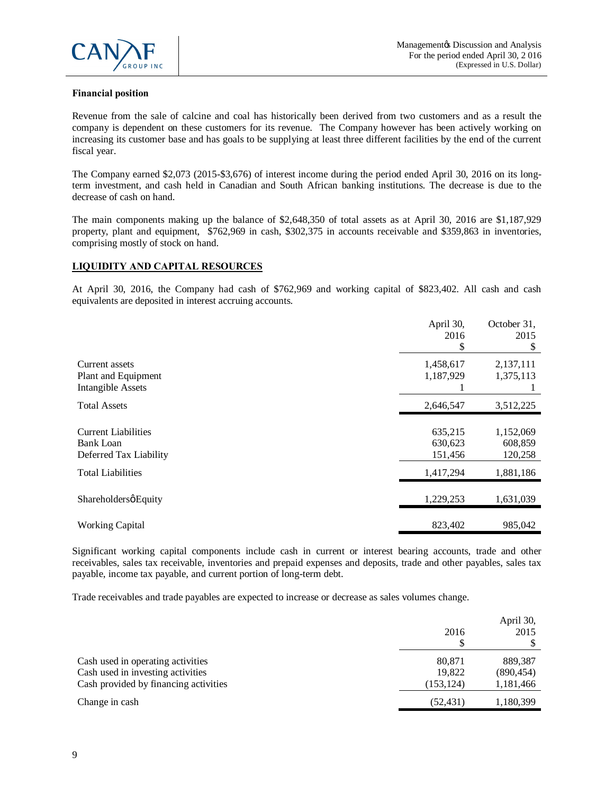

# **Financial position**

Revenue from the sale of calcine and coal has historically been derived from two customers and as a result the company is dependent on these customers for its revenue. The Company however has been actively working on increasing its customer base and has goals to be supplying at least three different facilities by the end of the current fiscal year.

The Company earned \$2,073 (2015-\$3,676) of interest income during the period ended April 30, 2016 on its longterm investment, and cash held in Canadian and South African banking institutions. The decrease is due to the decrease of cash on hand.

The main components making up the balance of \$2,648,350 of total assets as at April 30, 2016 are \$1,187,929 property, plant and equipment, \$762,969 in cash, \$302,375 in accounts receivable and \$359,863 in inventories, comprising mostly of stock on hand.

### **LIQUIDITY AND CAPITAL RESOURCES**

At April 30, 2016, the Company had cash of \$762,969 and working capital of \$823,402. All cash and cash equivalents are deposited in interest accruing accounts.

|                                                                   | April 30,<br>2016<br>S        | October 31,<br>2015<br>\$       |
|-------------------------------------------------------------------|-------------------------------|---------------------------------|
| Current assets<br>Plant and Equipment<br><b>Intangible Assets</b> | 1,458,617<br>1,187,929        | 2,137,111<br>1,375,113          |
| <b>Total Assets</b>                                               | 2,646,547                     | 3,512,225                       |
| <b>Current Liabilities</b><br>Bank Loan<br>Deferred Tax Liability | 635,215<br>630,623<br>151,456 | 1,152,069<br>608,859<br>120,258 |
| <b>Total Liabilities</b>                                          | 1,417,294                     | 1,881,186                       |
| ShareholdersøEquity                                               | 1,229,253                     | 1,631,039                       |
| <b>Working Capital</b>                                            | 823,402                       | 985,042                         |

Significant working capital components include cash in current or interest bearing accounts, trade and other receivables, sales tax receivable, inventories and prepaid expenses and deposits, trade and other payables, sales tax payable, income tax payable, and current portion of long-term debt.

Trade receivables and trade payables are expected to increase or decrease as sales volumes change.

|                                                                                                                 | 2016                           | April 30,<br>2015                  |
|-----------------------------------------------------------------------------------------------------------------|--------------------------------|------------------------------------|
| Cash used in operating activities<br>Cash used in investing activities<br>Cash provided by financing activities | 80.871<br>19,822<br>(153, 124) | 889.387<br>(890, 454)<br>1,181,466 |
| Change in cash                                                                                                  | (52, 431)                      | 1,180,399                          |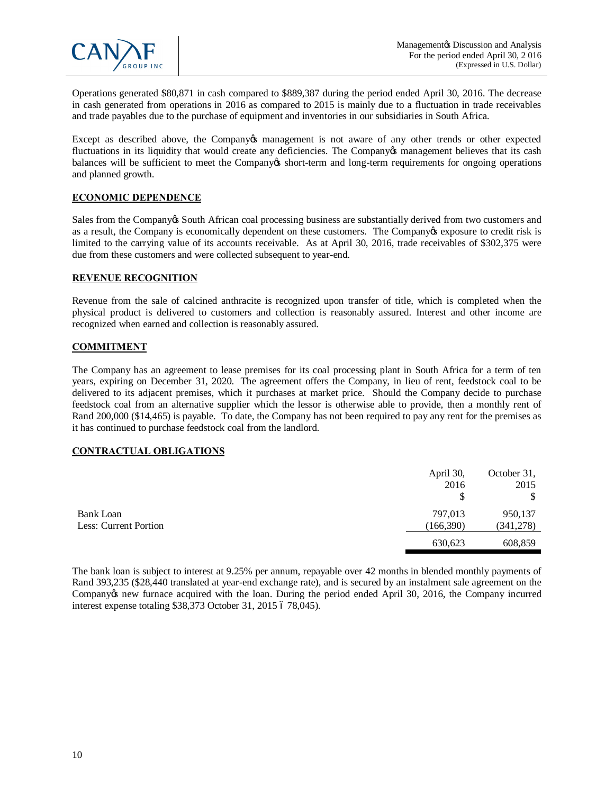

Operations generated \$80,871 in cash compared to \$889,387 during the period ended April 30, 2016. The decrease in cash generated from operations in 2016 as compared to 2015 is mainly due to a fluctuation in trade receivables and trade payables due to the purchase of equipment and inventories in our subsidiaries in South Africa.

Except as described above, the Company os management is not aware of any other trends or other expected fluctuations in its liquidity that would create any deficiencies. The Company of management believes that its cash balances will be sufficient to meet the Company's short-term and long-term requirements for ongoing operations and planned growth.

### **ECONOMIC DEPENDENCE**

Sales from the Company is South African coal processing business are substantially derived from two customers and as a result, the Company is economically dependent on these customers. The Company exposure to credit risk is limited to the carrying value of its accounts receivable. As at April 30, 2016, trade receivables of \$302,375 were due from these customers and were collected subsequent to year-end.

### **REVENUE RECOGNITION**

Revenue from the sale of calcined anthracite is recognized upon transfer of title, which is completed when the physical product is delivered to customers and collection is reasonably assured. Interest and other income are recognized when earned and collection is reasonably assured.

# **COMMITMENT**

The Company has an agreement to lease premises for its coal processing plant in South Africa for a term of ten years, expiring on December 31, 2020. The agreement offers the Company, in lieu of rent, feedstock coal to be delivered to its adjacent premises, which it purchases at market price. Should the Company decide to purchase feedstock coal from an alternative supplier which the lessor is otherwise able to provide, then a monthly rent of Rand 200,000 (\$14,465) is payable. To date, the Company has not been required to pay any rent for the premises as it has continued to purchase feedstock coal from the landlord.

#### **CONTRACTUAL OBLIGATIONS**

|                       | April 30,  | October 31, |
|-----------------------|------------|-------------|
|                       | 2016       | 2015        |
|                       | S          | \$          |
| Bank Loan             | 797,013    | 950,137     |
| Less: Current Portion | (166, 390) | (341,278)   |
|                       | 630,623    | 608,859     |

The bank loan is subject to interest at 9.25% per annum, repayable over 42 months in blended monthly payments of Rand 393,235 (\$28,440 translated at year-end exchange rate), and is secured by an instalment sale agreement on the Company t new furnace acquired with the loan. During the period ended April 30, 2016, the Company incurred interest expense totaling \$38,373 October 31, 2015 6 78,045).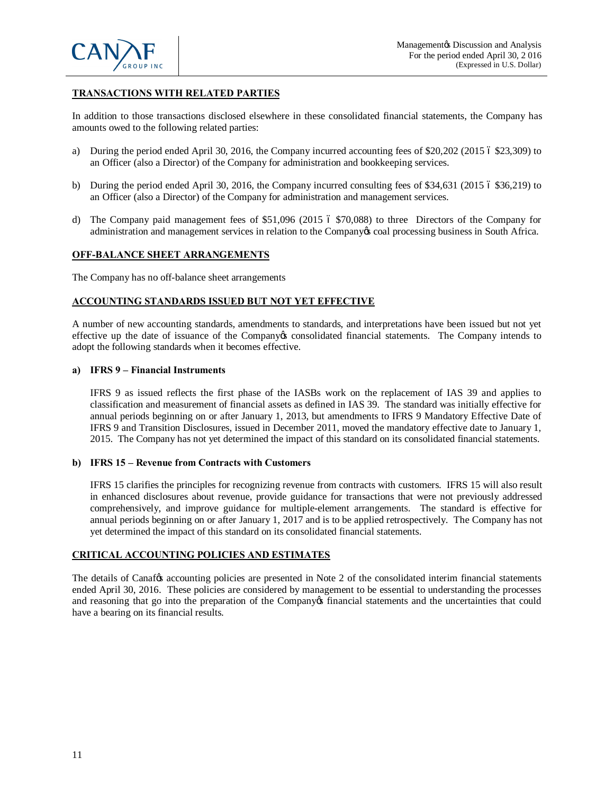

# **TRANSACTIONS WITH RELATED PARTIES**

In addition to those transactions disclosed elsewhere in these consolidated financial statements, the Company has amounts owed to the following related parties:

- a) During the period ended April 30, 2016, the Company incurred accounting fees of  $$20,202$  (2015 6  $$23,309$ ) to an Officer (also a Director) of the Company for administration and bookkeeping services.
- b) During the period ended April 30, 2016, the Company incurred consulting fees of  $$34,631$  (2015 6  $$36,219$ ) to an Officer (also a Director) of the Company for administration and management services.
- d) The Company paid management fees of \$51,096 (2015 6 \$70,088) to three Directors of the Company for administration and management services in relation to the Company's coal processing business in South Africa.

### **OFF-BALANCE SHEET ARRANGEMENTS**

The Company has no off-balance sheet arrangements

### **ACCOUNTING STANDARDS ISSUED BUT NOT YET EFFECTIVE**

A number of new accounting standards, amendments to standards, and interpretations have been issued but not yet effective up the date of issuance of the Company's consolidated financial statements. The Company intends to adopt the following standards when it becomes effective.

#### **a) IFRS 9 – Financial Instruments**

IFRS 9 as issued reflects the first phase of the IASBs work on the replacement of IAS 39 and applies to classification and measurement of financial assets as defined in IAS 39. The standard was initially effective for annual periods beginning on or after January 1, 2013, but amendments to IFRS 9 Mandatory Effective Date of IFRS 9 and Transition Disclosures, issued in December 2011, moved the mandatory effective date to January 1, 2015. The Company has not yet determined the impact of this standard on its consolidated financial statements.

#### **b) IFRS 15 – Revenue from Contracts with Customers**

IFRS 15 clarifies the principles for recognizing revenue from contracts with customers. IFRS 15 will also result in enhanced disclosures about revenue, provide guidance for transactions that were not previously addressed comprehensively, and improve guidance for multiple-element arrangements. The standard is effective for annual periods beginning on or after January 1, 2017 and is to be applied retrospectively. The Company has not yet determined the impact of this standard on its consolidated financial statements.

# **CRITICAL ACCOUNTING POLICIES AND ESTIMATES**

The details of Canaf $\alpha$  accounting policies are presented in Note 2 of the consolidated interim financial statements ended April 30, 2016. These policies are considered by management to be essential to understanding the processes and reasoning that go into the preparation of the Company of financial statements and the uncertainties that could have a bearing on its financial results.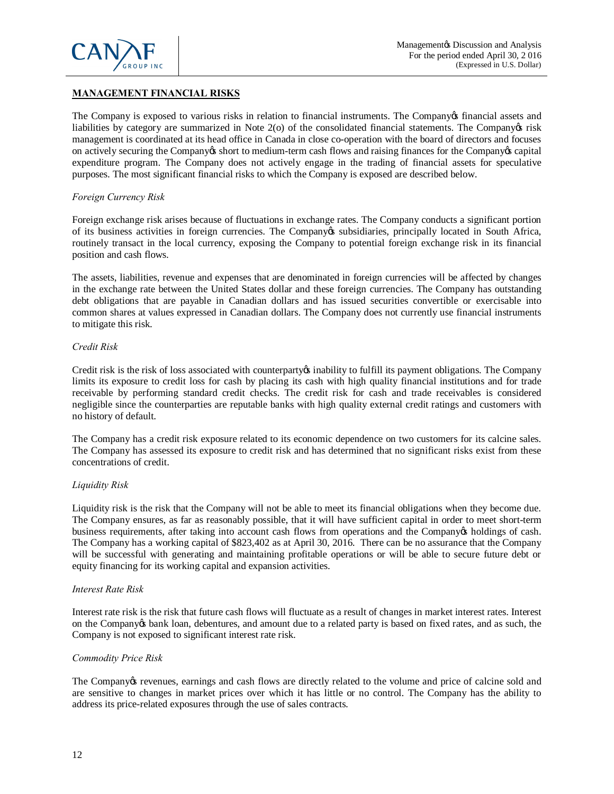

# **MANAGEMENT FINANCIAL RISKS**

The Company is exposed to various risks in relation to financial instruments. The Company of financial assets and liabilities by category are summarized in Note  $2$ (o) of the consolidated financial statements. The Company  $\alpha$  risk management is coordinated at its head office in Canada in close co-operation with the board of directors and focuses on actively securing the Company's short to medium-term cash flows and raising finances for the Company's capital expenditure program. The Company does not actively engage in the trading of financial assets for speculative purposes. The most significant financial risks to which the Company is exposed are described below.

### *Foreign Currency Risk*

Foreign exchange risk arises because of fluctuations in exchange rates. The Company conducts a significant portion of its business activities in foreign currencies. The Company is subsidiaries, principally located in South Africa, routinely transact in the local currency, exposing the Company to potential foreign exchange risk in its financial position and cash flows.

The assets, liabilities, revenue and expenses that are denominated in foreign currencies will be affected by changes in the exchange rate between the United States dollar and these foreign currencies. The Company has outstanding debt obligations that are payable in Canadian dollars and has issued securities convertible or exercisable into common shares at values expressed in Canadian dollars. The Company does not currently use financial instruments to mitigate this risk.

### *Credit Risk*

Credit risk is the risk of loss associated with counterparty inability to fulfill its payment obligations. The Company limits its exposure to credit loss for cash by placing its cash with high quality financial institutions and for trade receivable by performing standard credit checks. The credit risk for cash and trade receivables is considered negligible since the counterparties are reputable banks with high quality external credit ratings and customers with no history of default.

The Company has a credit risk exposure related to its economic dependence on two customers for its calcine sales. The Company has assessed its exposure to credit risk and has determined that no significant risks exist from these concentrations of credit.

# *Liquidity Risk*

Liquidity risk is the risk that the Company will not be able to meet its financial obligations when they become due. The Company ensures, as far as reasonably possible, that it will have sufficient capital in order to meet short-term business requirements, after taking into account cash flows from operations and the Company's holdings of cash. The Company has a working capital of \$823,402 as at April 30, 2016. There can be no assurance that the Company will be successful with generating and maintaining profitable operations or will be able to secure future debt or equity financing for its working capital and expansion activities.

#### *Interest Rate Risk*

Interest rate risk is the risk that future cash flows will fluctuate as a result of changes in market interest rates. Interest on the Company ts bank loan, debentures, and amount due to a related party is based on fixed rates, and as such, the Company is not exposed to significant interest rate risk.

#### *Commodity Price Risk*

The Company is revenues, earnings and cash flows are directly related to the volume and price of calcine sold and are sensitive to changes in market prices over which it has little or no control. The Company has the ability to address its price-related exposures through the use of sales contracts.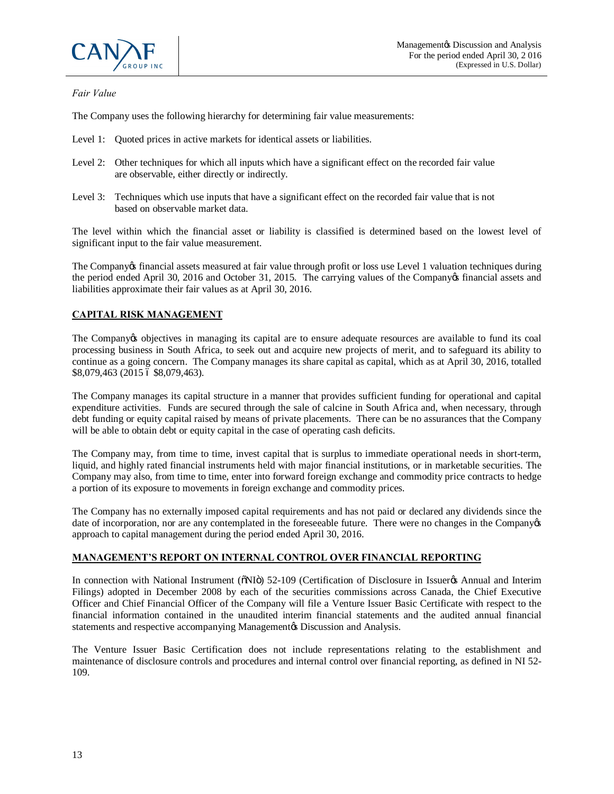

# *Fair Value*

The Company uses the following hierarchy for determining fair value measurements:

- Level 1: Quoted prices in active markets for identical assets or liabilities.
- Level 2: Other techniques for which all inputs which have a significant effect on the recorded fair value are observable, either directly or indirectly.
- Level 3: Techniques which use inputs that have a significant effect on the recorded fair value that is not based on observable market data.

The level within which the financial asset or liability is classified is determined based on the lowest level of significant input to the fair value measurement.

The Company of financial assets measured at fair value through profit or loss use Level 1 valuation techniques during the period ended April 30, 2016 and October 31, 2015. The carrying values of the Companyos financial assets and liabilities approximate their fair values as at April 30, 2016.

# **CAPITAL RISK MANAGEMENT**

The Company to objectives in managing its capital are to ensure adequate resources are available to fund its coal processing business in South Africa, to seek out and acquire new projects of merit, and to safeguard its ability to continue as a going concern. The Company manages its share capital as capital, which as at April 30, 2016, totalled \$8,079,463 (2015 6 \$8,079,463).

The Company manages its capital structure in a manner that provides sufficient funding for operational and capital expenditure activities. Funds are secured through the sale of calcine in South Africa and, when necessary, through debt funding or equity capital raised by means of private placements. There can be no assurances that the Company will be able to obtain debt or equity capital in the case of operating cash deficits.

The Company may, from time to time, invest capital that is surplus to immediate operational needs in short-term, liquid, and highly rated financial instruments held with major financial institutions, or in marketable securities. The Company may also, from time to time, enter into forward foreign exchange and commodity price contracts to hedge a portion of its exposure to movements in foreign exchange and commodity prices.

The Company has no externally imposed capital requirements and has not paid or declared any dividends since the date of incorporation, nor are any contemplated in the foreseeable future. There were no changes in the Companyos approach to capital management during the period ended April 30, 2016.

# **MANAGEMENT'S REPORT ON INTERNAL CONTROL OVER FINANCIAL REPORTING**

In connection with National Instrument ( $\delta$ NI $\delta$ ) 52-109 (Certification of Disclosure in Issuer $\alpha$ s Annual and Interim Filings) adopted in December 2008 by each of the securities commissions across Canada, the Chief Executive Officer and Chief Financial Officer of the Company will file a Venture Issuer Basic Certificate with respect to the financial information contained in the unaudited interim financial statements and the audited annual financial statements and respective accompanying Management is Discussion and Analysis.

The Venture Issuer Basic Certification does not include representations relating to the establishment and maintenance of disclosure controls and procedures and internal control over financial reporting, as defined in NI 52- 109.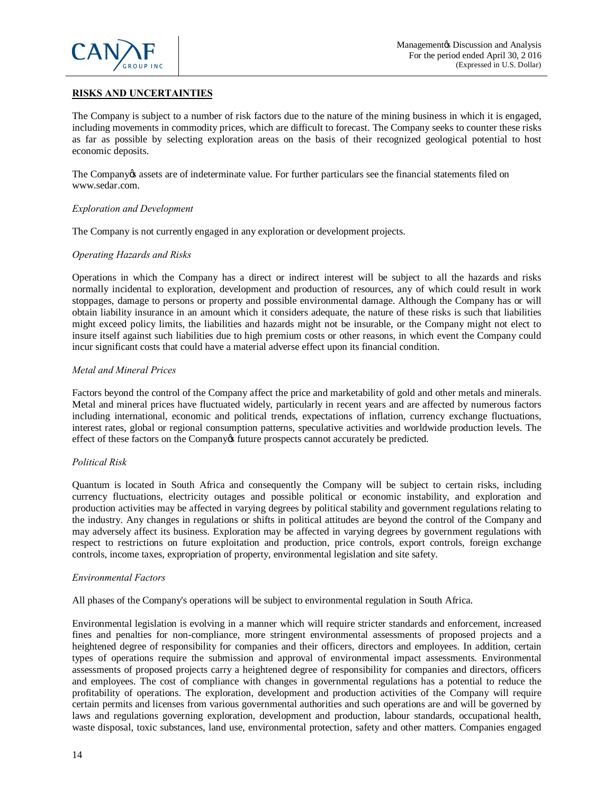

# **RISKS AND UNCERTAINTIES**

The Company is subject to a number of risk factors due to the nature of the mining business in which it is engaged, including movements in commodity prices, which are difficult to forecast. The Company seeks to counter these risks as far as possible by selecting exploration areas on the basis of their recognized geological potential to host economic deposits.

The Company is assets are of indeterminate value. For further particulars see the financial statements filed on www.sedar.com.

#### *Exploration and Development*

The Company is not currently engaged in any exploration or development projects.

#### *Operating Hazards and Risks*

Operations in which the Company has a direct or indirect interest will be subject to all the hazards and risks normally incidental to exploration, development and production of resources, any of which could result in work stoppages, damage to persons or property and possible environmental damage. Although the Company has or will obtain liability insurance in an amount which it considers adequate, the nature of these risks is such that liabilities might exceed policy limits, the liabilities and hazards might not be insurable, or the Company might not elect to insure itself against such liabilities due to high premium costs or other reasons, in which event the Company could incur significant costs that could have a material adverse effect upon its financial condition.

#### *Metal and Mineral Prices*

Factors beyond the control of the Company affect the price and marketability of gold and other metals and minerals. Metal and mineral prices have fluctuated widely, particularly in recent years and are affected by numerous factors including international, economic and political trends, expectations of inflation, currency exchange fluctuations, interest rates, global or regional consumption patterns, speculative activities and worldwide production levels. The effect of these factors on the Company of future prospects cannot accurately be predicted.

#### *Political Risk*

Quantum is located in South Africa and consequently the Company will be subject to certain risks, including currency fluctuations, electricity outages and possible political or economic instability, and exploration and production activities may be affected in varying degrees by political stability and government regulations relating to the industry. Any changes in regulations or shifts in political attitudes are beyond the control of the Company and may adversely affect its business. Exploration may be affected in varying degrees by government regulations with respect to restrictions on future exploitation and production, price controls, export controls, foreign exchange controls, income taxes, expropriation of property, environmental legislation and site safety.

#### *Environmental Factors*

All phases of the Company's operations will be subject to environmental regulation in South Africa.

Environmental legislation is evolving in a manner which will require stricter standards and enforcement, increased fines and penalties for non-compliance, more stringent environmental assessments of proposed projects and a heightened degree of responsibility for companies and their officers, directors and employees. In addition, certain types of operations require the submission and approval of environmental impact assessments. Environmental assessments of proposed projects carry a heightened degree of responsibility for companies and directors, officers and employees. The cost of compliance with changes in governmental regulations has a potential to reduce the profitability of operations. The exploration, development and production activities of the Company will require certain permits and licenses from various governmental authorities and such operations are and will be governed by laws and regulations governing exploration, development and production, labour standards, occupational health, waste disposal, toxic substances, land use, environmental protection, safety and other matters. Companies engaged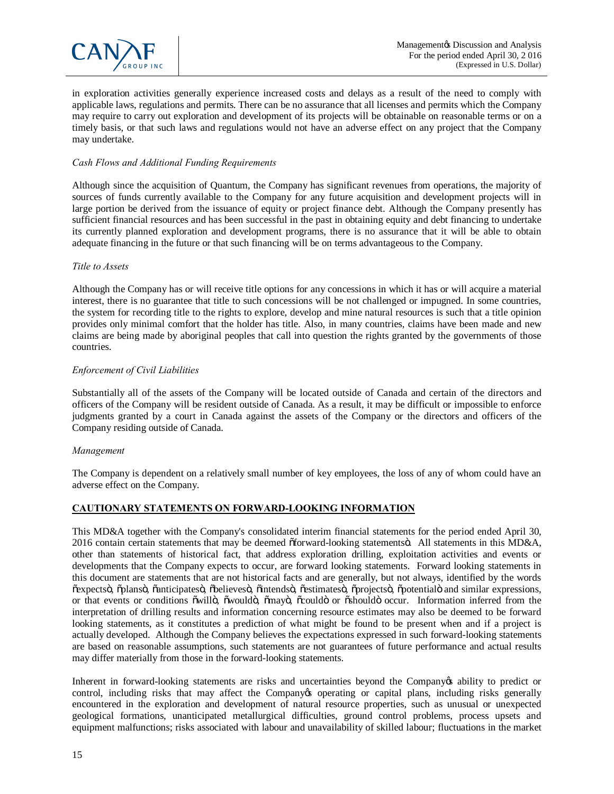

in exploration activities generally experience increased costs and delays as a result of the need to comply with applicable laws, regulations and permits. There can be no assurance that all licenses and permits which the Company may require to carry out exploration and development of its projects will be obtainable on reasonable terms or on a timely basis, or that such laws and regulations would not have an adverse effect on any project that the Company may undertake.

### *Cash Flows and Additional Funding Requirements*

Although since the acquisition of Quantum, the Company has significant revenues from operations, the majority of sources of funds currently available to the Company for any future acquisition and development projects will in large portion be derived from the issuance of equity or project finance debt. Although the Company presently has sufficient financial resources and has been successful in the past in obtaining equity and debt financing to undertake its currently planned exploration and development programs, there is no assurance that it will be able to obtain adequate financing in the future or that such financing will be on terms advantageous to the Company.

### *Title to Assets*

Although the Company has or will receive title options for any concessions in which it has or will acquire a material interest, there is no guarantee that title to such concessions will be not challenged or impugned. In some countries, the system for recording title to the rights to explore, develop and mine natural resources is such that a title opinion provides only minimal comfort that the holder has title. Also, in many countries, claims have been made and new claims are being made by aboriginal peoples that call into question the rights granted by the governments of those countries.

### *Enforcement of Civil Liabilities*

Substantially all of the assets of the Company will be located outside of Canada and certain of the directors and officers of the Company will be resident outside of Canada. As a result, it may be difficult or impossible to enforce judgments granted by a court in Canada against the assets of the Company or the directors and officers of the Company residing outside of Canada.

#### *Management*

The Company is dependent on a relatively small number of key employees, the loss of any of whom could have an adverse effect on the Company.

# **CAUTIONARY STATEMENTS ON FORWARD-LOOKING INFORMATION**

This MD&A together with the Company's consolidated interim financial statements for the period ended April 30, 2016 contain certain statements that may be deemed  $\delta$  forward-looking statements . All statements in this MD&A, other than statements of historical fact, that address exploration drilling, exploitation activities and events or developments that the Company expects to occur, are forward looking statements. Forward looking statements in this document are statements that are not historical facts and are generally, but not always, identified by the words õexpectsö, õplansö, õanticipatesö, õbelievesö, õintendsö, õestimatesö, õprojectsö, õpotentialö and similar expressions, or that events or conditions õwillö, õwouldö, õmayö, õcouldö or õshouldö occur. Information inferred from the interpretation of drilling results and information concerning resource estimates may also be deemed to be forward looking statements, as it constitutes a prediction of what might be found to be present when and if a project is actually developed. Although the Company believes the expectations expressed in such forward-looking statements are based on reasonable assumptions, such statements are not guarantees of future performance and actual results may differ materially from those in the forward-looking statements.

Inherent in forward-looking statements are risks and uncertainties beyond the Company to bredict or control, including risks that may affect the Company to perating or capital plans, including risks generally encountered in the exploration and development of natural resource properties, such as unusual or unexpected geological formations, unanticipated metallurgical difficulties, ground control problems, process upsets and equipment malfunctions; risks associated with labour and unavailability of skilled labour; fluctuations in the market